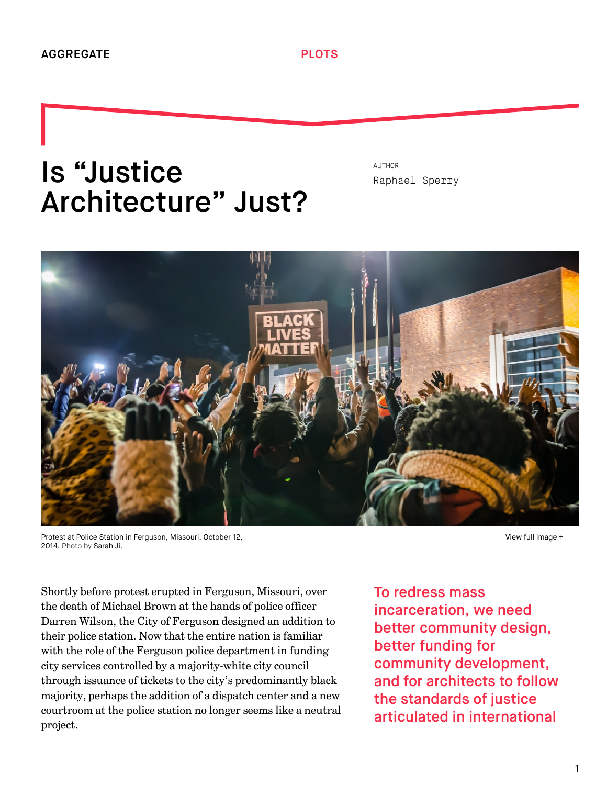## Is "Justice Architecture" Just?

AUTHOR [Raphael Sperry](http://we-aggregate.org/people/raphael-sperry)



Protest at Police Station in Ferguson, Missouri. October 12, 2014. Photo by [Sarah Ji.](https://www.flickr.com/photos/sierraromeo/)

[View full image +](http://we-aggregate.org/media/files/1db06fb8cdf9111bb214ea49638c1aa8.jpg)

Shortly before protest erupted in Ferguson, Missouri, over the death of Michael Brown at the hands of police officer Darren Wilson, the City of Ferguson designed an addition to their police station. Now that the entire nation is familiar with the role of the Ferguson police department in funding city services controlled by a majority-white city council through issuance of tickets to the city's predominantly black majority, perhaps the addition of a dispatch center and a new courtroom at the police station no longer seems like a neutral project.

To redress mass incarceration, we need better community design, better funding for community development, and for architects to follow the standards of justice articulated in international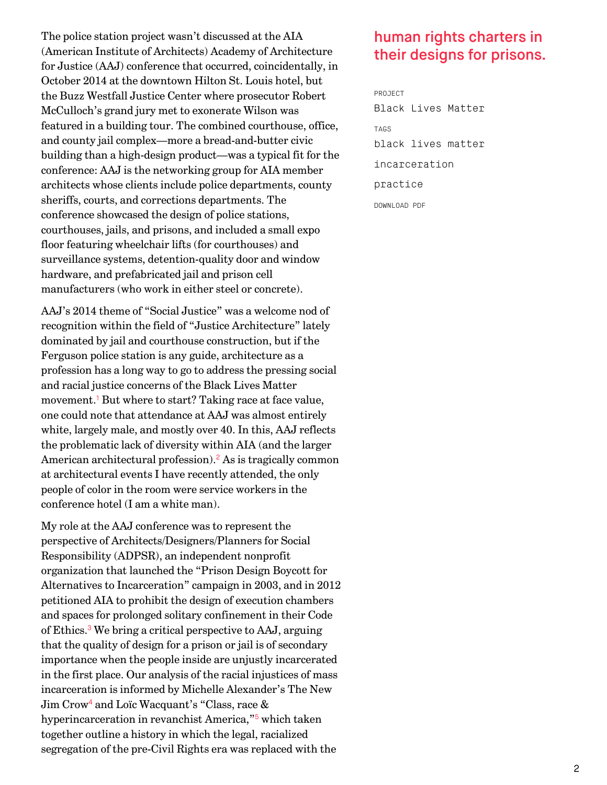The police station project wasn't discussed at the AIA (American Institute of Architects) Academy of Architecture for Justice (AAJ) conference that occurred, coincidentally, in October 2014 at the downtown Hilton St. Louis hotel, but the Buzz Westfall Justice Center where prosecutor Robert McCulloch's grand jury met to exonerate Wilson was featured in a building tour. The combined courthouse, office, and county jail complex—more a bread-and-butter civic building than a high-design product—was a typical fit for the conference: AAJ is the networking group for AIA member architects whose clients include police departments, county sheriffs, courts, and corrections departments. The conference showcased the design of police stations, courthouses, jails, and prisons, and included a small expo floor featuring wheelchair lifts (for courthouses) and surveillance systems, detention-quality door and window hardware, and prefabricated jail and prison cell manufacturers (who work in either steel or concrete).

<span id="page-1-0"></span>AAJ's 2014 theme of "Social Justice" was a welcome nod of recognition within the field of "Justice Architecture" lately dominated by jail and courthouse construction, but if the Ferguson police station is any guide, architecture as a profession has a long way to go to address the pressing social and racial justice concerns of the Black Lives Matter movement.<sup>[1](#page-5-0)</sup> But where to start? Taking race at face value, one could note that attendance at AAJ was almost entirely white, largely male, and mostly over 40. In this, AAJ reflects the problematic lack of diversity within AIA (and the larger American architectural profession).<sup>[2](#page-6-0)</sup> As is tragically common at architectural events I have recently attended, the only people of color in the room were service workers in the conference hotel (I am a white man).

<span id="page-1-4"></span><span id="page-1-3"></span><span id="page-1-2"></span><span id="page-1-1"></span>My role at the AAJ conference was to represent the perspective of Architects/Designers/Planners for Social Responsibility (ADPSR), an independent nonprofit organization that launched the "Prison Design Boycott for Alternatives to Incarceration" campaign in 2003, and in 2012 petitioned AIA to prohibit the design of execution chambers and spaces for prolonged solitary confinement in their Code of Ethics.<sup>[3](#page-6-1)</sup> We bring a critical perspective to AAJ, arguing that the quality of design for a prison or jail is of secondary importance when the people inside are unjustly incarcerated in the first place. Our analysis of the racial injustices of mass incarceration is informed by Michelle Alexander's The New  ${\rm Jim}$   ${\rm Crow^4}$  ${\rm Crow^4}$  ${\rm Crow^4}$  and  ${\rm Loïc}$   ${\rm Waca}$   ${\rm cant's}$  "Class, race  $\&$ hyperincarceration in revanchist America,"<sup>[5](#page-6-3)</sup> which taken together outline a history in which the legal, racialized segregation of the pre-Civil Rights era was replaced with the

## human rights charters in their designs for prisons.

PROJECT [Black Lives Matter](http://we-aggregate.org/project/black-lives-matter) TAGS [black lives matter](http://we-aggregate.org/tag/black-lives-matter) [incarceration](http://we-aggregate.org/tag/incarceration) [practice](http://we-aggregate.org/tag/practice) DOWNLOAD PDF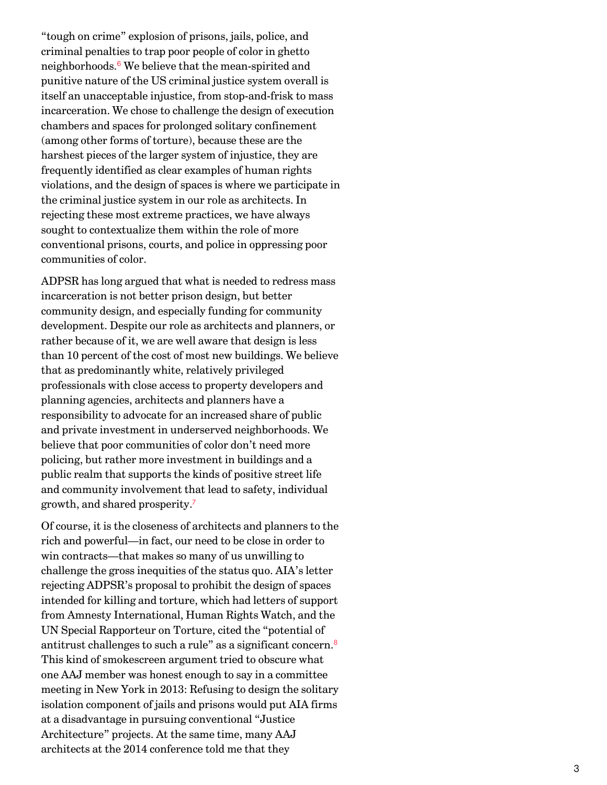<span id="page-2-0"></span>"tough on crime" explosion of prisons, jails, police, and criminal penalties to trap poor people of color in ghetto neighborhoods.<sup>[6](#page-6-4)</sup> We believe that the mean-spirited and punitive nature of the US criminal justice system overall is itself an unacceptable injustice, from stop-and-frisk to mass incarceration. We chose to challenge the design of execution chambers and spaces for prolonged solitary confinement (among other forms of torture), because these are the harshest pieces of the larger system of injustice, they are frequently identified as clear examples of human rights violations, and the design of spaces is where we participate in the criminal justice system in our role as architects. In rejecting these most extreme practices, we have always sought to contextualize them within the role of more conventional prisons, courts, and police in oppressing poor communities of color.

ADPSR has long argued that what is needed to redress mass incarceration is not better prison design, but better community design, and especially funding for community development. Despite our role as architects and planners, or rather because of it, we are well aware that design is less than 10 percent of the cost of most new buildings. We believe that as predominantly white, relatively privileged professionals with close access to property developers and planning agencies, architects and planners have a responsibility to advocate for an increased share of public and private investment in underserved neighborhoods. We believe that poor communities of color don't need more policing, but rather more investment in buildings and a public realm that supports the kinds of positive street life and community involvement that lead to safety, individual growth, and shared prosperity. [7](#page-6-5)

<span id="page-2-2"></span><span id="page-2-1"></span>Of course, it is the closeness of architects and planners to the rich and powerful—in fact, our need to be close in order to win contracts—that makes so many of us unwilling to challenge the gross inequities of the status quo. AIA's letter rejecting ADPSR's proposal to prohibit the design of spaces intended for killing and torture, which had letters of support from Amnesty International, Human Rights Watch, and the UN Special Rapporteur on Torture, cited the "potential of antitrust challenges to such a rule" as a significant concern. [8](#page-6-6) This kind of smokescreen argument tried to obscure what one AAJ member was honest enough to say in a committee meeting in New York in 2013: Refusing to design the solitary isolation component of jails and prisons would put AIA firms at a disadvantage in pursuing conventional "Justice Architecture" projects. At the same time, many AAJ architects at the 2014 conference told me that they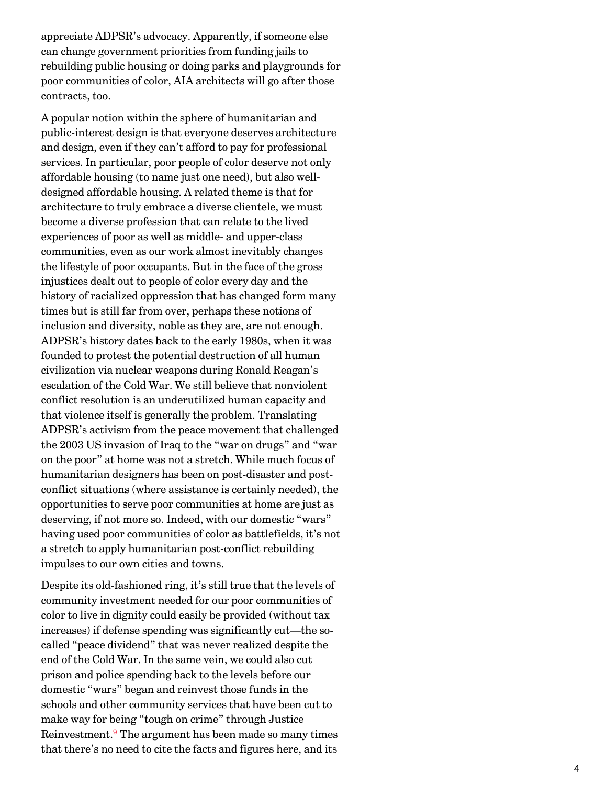appreciate ADPSR's advocacy. Apparently, if someone else can change government priorities from funding jails to rebuilding public housing or doing parks and playgrounds for poor communities of color, AIA architects will go after those contracts, too.

A popular notion within the sphere of humanitarian and public-interest design is that everyone deserves architecture and design, even if they can't afford to pay for professional services. In particular, poor people of color deserve not only affordable housing (to name just one need), but also welldesigned affordable housing. A related theme is that for architecture to truly embrace a diverse clientele, we must become a diverse profession that can relate to the lived experiences of poor as well as middle- and upper-class communities, even as our work almost inevitably changes the lifestyle of poor occupants. But in the face of the gross injustices dealt out to people of color every day and the history of racialized oppression that has changed form many times but is still far from over, perhaps these notions of inclusion and diversity, noble as they are, are not enough. ADPSR's history dates back to the early 1980s, when it was founded to protest the potential destruction of all human civilization via nuclear weapons during Ronald Reagan's escalation of the Cold War. We still believe that nonviolent conflict resolution is an underutilized human capacity and that violence itself is generally the problem. Translating ADPSR's activism from the peace movement that challenged the 2003 US invasion of Iraq to the "war on drugs" and "war on the poor" at home was not a stretch. While much focus of humanitarian designers has been on post-disaster and postconflict situations (where assistance is certainly needed), the opportunities to serve poor communities at home are just as deserving, if not more so. Indeed, with our domestic "wars" having used poor communities of color as battlefields, it's not a stretch to apply humanitarian post-conflict rebuilding impulses to our own cities and towns.

<span id="page-3-0"></span>Despite its old-fashioned ring, it's still true that the levels of community investment needed for our poor communities of color to live in dignity could easily be provided (without tax increases) if defense spending was significantly cut—the socalled "peace dividend" that was never realized despite the end of the Cold War. In the same vein, we could also cut prison and police spending back to the levels before our domestic "wars" began and reinvest those funds in the schools and other community services that have been cut to make way for being "tough on crime" through Justice Reinvestment.<sup>[9](#page-6-7)</sup> The argument has been made so many times that there's no need to cite the facts and figures here, and its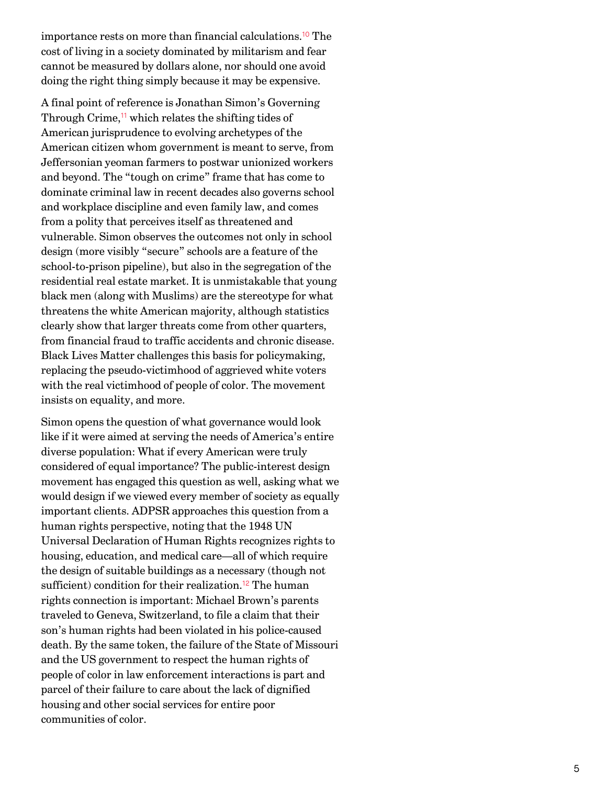<span id="page-4-0"></span>importance rests on more than financial calculations.<sup>[10](#page-6-8)</sup> The cost of living in a society dominated by militarism and fear cannot be measured by dollars alone, nor should one avoid doing the right thing simply because it may be expensive.

<span id="page-4-1"></span>A final point of reference is Jonathan Simon's Governing Through Crime,<sup>[11](#page-6-9)</sup> which relates the shifting tides of American jurisprudence to evolving archetypes of the American citizen whom government is meant to serve, from Jeffersonian yeoman farmers to postwar unionized workers and beyond. The "tough on crime" frame that has come to dominate criminal law in recent decades also governs school and workplace discipline and even family law, and comes from a polity that perceives itself as threatened and vulnerable. Simon observes the outcomes not only in school design (more visibly "secure" schools are a feature of the school-to-prison pipeline), but also in the segregation of the residential real estate market. It is unmistakable that young black men (along with Muslims) are the stereotype for what threatens the white American majority, although statistics clearly show that larger threats come from other quarters, from financial fraud to traffic accidents and chronic disease. Black Lives Matter challenges this basis for policymaking, replacing the pseudo-victimhood of aggrieved white voters with the real victimhood of people of color. The movement insists on equality, and more.

<span id="page-4-2"></span>Simon opens the question of what governance would look like if it were aimed at serving the needs of America's entire diverse population: What if every American were truly considered of equal importance? The public-interest design movement has engaged this question as well, asking what we would design if we viewed every member of society as equally important clients. ADPSR approaches this question from a human rights perspective, noting that the 1948 UN Universal Declaration of Human Rights recognizes rights to housing, education, and medical care—all of which require the design of suitable buildings as a necessary (though not sufficient) condition for their realization.<sup>[12](#page-7-0)</sup> The human rights connection is important: Michael Brown's parents traveled to Geneva, Switzerland, to file a claim that their son's human rights had been violated in his police-caused death. By the same token, the failure of the State of Missouri and the US government to respect the human rights of people of color in law enforcement interactions is part and parcel of their failure to care about the lack of dignified housing and other social services for entire poor communities of color.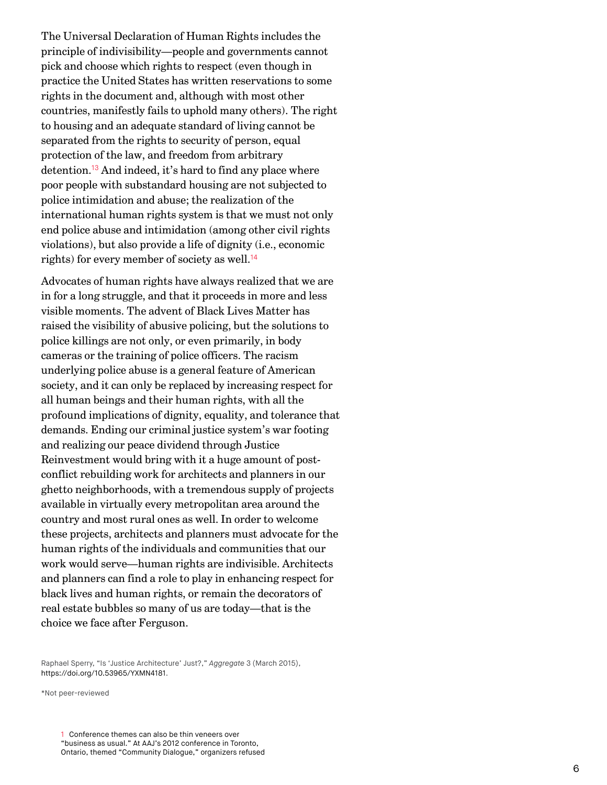The Universal Declaration of Human Rights includes the principle of indivisibility—people and governments cannot pick and choose which rights to respect (even though in practice the United States has written reservations to some rights in the document and, although with most other countries, manifestly fails to uphold many others). The right to housing and an adequate standard of living cannot be separated from the rights to security of person, equal protection of the law, and freedom from arbitrary detention.<sup>[13](#page-7-1)</sup> And indeed, it's hard to find any place where poor people with substandard housing are not subjected to police intimidation and abuse; the realization of the international human rights system is that we must not only end police abuse and intimidation (among other civil rights violations), but also provide a life of dignity (i.e., economic rights) for every member of society as well. [14](#page-7-2)

<span id="page-5-2"></span><span id="page-5-1"></span>Advocates of human rights have always realized that we are in for a long struggle, and that it proceeds in more and less visible moments. The advent of Black Lives Matter has raised the visibility of abusive policing, but the solutions to police killings are not only, or even primarily, in body cameras or the training of police officers. The racism underlying police abuse is a general feature of American society, and it can only be replaced by increasing respect for all human beings and their human rights, with all the profound implications of dignity, equality, and tolerance that demands. Ending our criminal justice system's war footing and realizing our peace dividend through Justice Reinvestment would bring with it a huge amount of postconflict rebuilding work for architects and planners in our ghetto neighborhoods, with a tremendous supply of projects available in virtually every metropolitan area around the country and most rural ones as well. In order to welcome these projects, architects and planners must advocate for the human rights of the individuals and communities that our work would serve—human rights are indivisible. Architects and planners can find a role to play in enhancing respect for black lives and human rights, or remain the decorators of real estate bubbles so many of us are today—that is the choice we face after Ferguson.

Raphael Sperry, "Is 'Justice Architecture' Just?," Aggregate 3 (March 2015), <https://doi.org/10.53965/YXMN4181>.

<span id="page-5-0"></span>\*Not peer-reviewed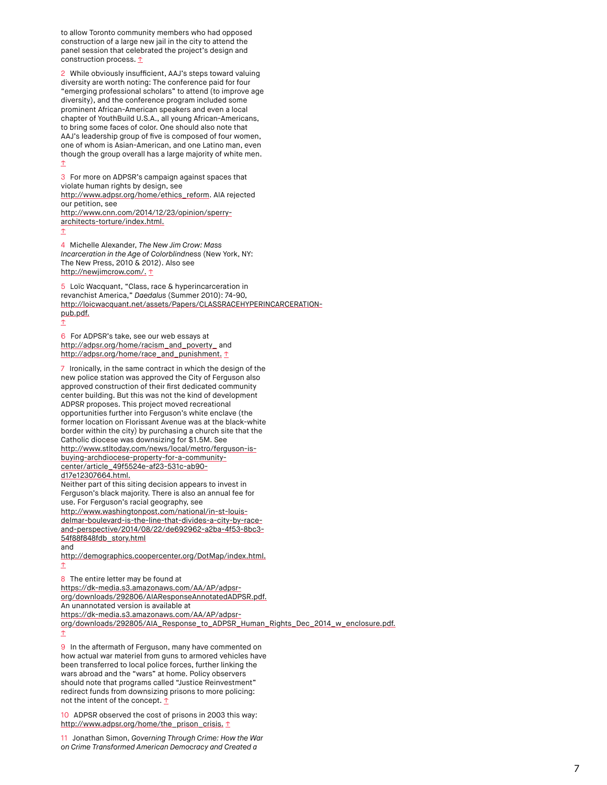to allow Toronto community members who had opposed construction of a large new jail in the city to attend the panel session that celebrated the project's design and construction process.  $**t**$ </u>

<span id="page-6-0"></span>2 While obviously insufficient, AAJ's steps toward valuing diversity are worth noting: The conference paid for four "emerging professional scholars" to attend (to improve age diversity), and the conference program included some prominent African-American speakers and even a local chapter of YouthBuild U.S.A., all young African-Americans, to bring some faces of color. One should also note that AAJ's leadership group of five is composed of four women, one of whom is Asian-American, and one Latino man, even though the group overall has a large majority of white men.  $\hat{v}$ 

<span id="page-6-1"></span>3 For more on ADPSR's campaign against spaces that violate human rights by design, see [http://www.adpsr.org/home/ethics\\_reform](http://www.adpsr.org/home/ethics_reform). AIA rejected our petition, see [http://www.cnn.com/2014/12/23/opinion/sperry](http://www.cnn.com/2014/12/23/opinion/sperry-architects-torture/index.html)architects-torture/index.html. [↑](#page-1-2)

<span id="page-6-2"></span>4 Michelle Alexander, The New Jim Crow: Mass Incarceration in the Age of Colorblindness (New York, NY: The New Press, 2010 & 2012). Also see [http://newjimcrow.com/.](http://newjimcrow.com/) [↑](#page-1-3)

<span id="page-6-3"></span>5 Loïc Wacquant, "Class, race & hyperincarceration in revanchist America," Daedalus (Summer 2010): 74-90, [http://loicwacquant.net/assets/Papers/CLASSRACEHYPERINCARCERATION](http://loicwacquant.net/assets/Papers/CLASSRACEHYPERINCARCERATION-pub.pdf)pub.pdf.

<span id="page-6-4"></span>6 For ADPSR's take, see our web essays at [http://adpsr.org/home/racism\\_and\\_poverty\\_](http://adpsr.org/home/racism_and_poverty_)and [http://adpsr.org/home/race\\_and\\_punishment.](http://adpsr.org/home/race_and_punishment) [↑](#page-2-0)

<span id="page-6-5"></span>7 Ironically, in the same contract in which the design of the new police station was approved the City of Ferguson also approved construction of their first dedicated community center building. But this was not the kind of development ADPSR proposes. This project moved recreational opportunities further into Ferguson's white enclave (the former location on Florissant Avenue was at the black-white border within the city) by purchasing a church site that the Catholic diocese was downsizing for \$1.5M. See [http://www.stltoday.com/news/local/metro/ferguson-is](http://www.stltoday.com/news/local/metro/ferguson-is-buying-archdiocese-property-for-a-community-center/article_49f5524e-af23-531c-ab90-d17e12307664.html)buying-archdiocese-property-for-a-communitycenter/article\_49f5524e-af23-531c-ab90 d17e12307664.html. Neither part of this siting decision appears to invest in Ferguson's black majority. There is also an annual fee for use. For Ferguson's racial geography, see http://www.washingtonpost.com/national/in-st-louisdelmar-boulevard-is-the-line-that-divides-a-city-by-race[and-perspective/2014/08/22/de692962-a2ba-4f53-8bc3-](http://www.washingtonpost.com/national/in-st-louis-delmar-boulevard-is-the-line-that-divides-a-city-by-race-and-perspective/2014/08/22/de692962-a2ba-4f53-8bc3-54f88f848fdb_story.html)

54f88f848fdb\_story.html and

[↑](#page-1-4)

[http://demographics.coopercenter.org/DotMap/index.html.](http://demographics.coopercenter.org/DotMap/index.html) [↑](#page-2-1)

<span id="page-6-6"></span>8 The entire letter may be found at https://dk-media.s3.amazonaws.com/AA/AP/adpsr[org/downloads/292806/AIAResponseAnnotatedADPSR.pdf.](http://dk-media.s3.amazonaws.com/AA/AP/adpsr-org/downloads/292806/AIAResponseAnnotatedADPSR.pdf) An unannotated version is available at https://dk-media.s3.amazonaws.com/AA/AP/adpsr-

[org/downloads/292805/AIA\\_Response\\_to\\_ADPSR\\_Human\\_Rights\\_Dec\\_2014\\_w\\_enclosure.pdf.](http://dk-media.s3.amazonaws.com/AA/AP/adpsr-org/downloads/292805/AIA_Response_to_ADPSR_Human_Rights_Dec_2014_w_enclosure.pdf)  $\hat{v}$ 

<span id="page-6-7"></span>9 In the aftermath of Ferguson, many have commented on how actual war materiel from guns to armored vehicles have been transferred to local police forces, further linking the wars abroad and the "wars" at home. Policy observers should note that programs called "Justice Reinvestment" redirect funds from downsizing prisons to more policing: not the intent of the concept. 1

<span id="page-6-8"></span>10 ADPSR observed the cost of prisons in 2003 this way: [http://www.adpsr.org/home/the\\_prison\\_crisis.](http://www.adpsr.org/home/the_prison_crisis) [↑](#page-4-0)

<span id="page-6-9"></span>11 Jonathan Simon, Governing Through Crime: How the War on Crime Transformed American Democracy and Created a